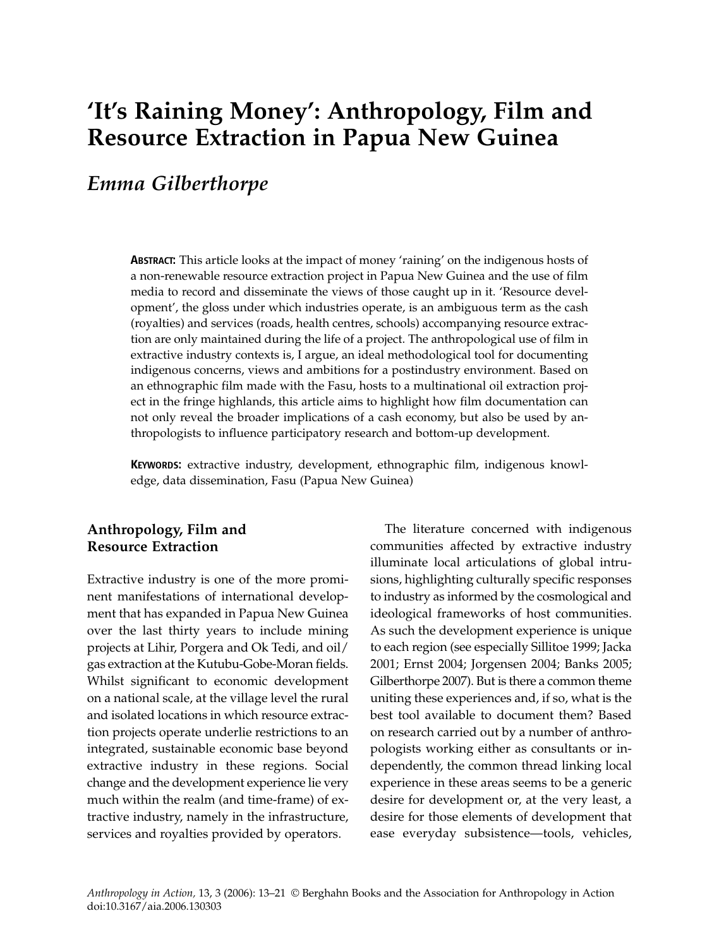# 'It's Raining Money': Anthropology, Film and **Resource Extraction in Papua New Guinea**

# Emma Gilberthorpe

**ABSTRACT:** This article looks at the impact of money 'raining' on the indigenous hosts of a non-renewable resource extraction project in Papua New Guinea and the use of film media to record and disseminate the views of those caught up in it. 'Resource development', the gloss under which industries operate, is an ambiguous term as the cash (royalties) and services (roads, health centres, schools) accompanying resource extraction are only maintained during the life of a project. The anthropological use of film in extractive industry contexts is, I argue, an ideal methodological tool for documenting indigenous concerns, views and ambitions for a postindustry environment. Based on an ethnographic film made with the Fasu, hosts to a multinational oil extraction project in the fringe highlands, this article aims to highlight how film documentation can not only reveal the broader implications of a cash economy, but also be used by anthropologists to influence participatory research and bottom-up development.

KEYWORDS: extractive industry, development, ethnographic film, indigenous knowledge, data dissemination, Fasu (Papua New Guinea)

#### Anthropology, Film and **Resource Extraction**

Extractive industry is one of the more prominent manifestations of international development that has expanded in Papua New Guinea over the last thirty years to include mining projects at Lihir, Porgera and Ok Tedi, and oil/ gas extraction at the Kutubu-Gobe-Moran fields. Whilst significant to economic development on a national scale, at the village level the rural and isolated locations in which resource extraction projects operate underlie restrictions to an integrated, sustainable economic base beyond extractive industry in these regions. Social change and the development experience lie very much within the realm (and time-frame) of extractive industry, namely in the infrastructure, services and royalties provided by operators.

The literature concerned with indigenous communities affected by extractive industry illuminate local articulations of global intrusions, highlighting culturally specific responses to industry as informed by the cosmological and ideological frameworks of host communities. As such the development experience is unique to each region (see especially Sillitoe 1999; Jacka 2001; Ernst 2004; Jorgensen 2004; Banks 2005; Gilberthorpe 2007). But is there a common theme uniting these experiences and, if so, what is the best tool available to document them? Based on research carried out by a number of anthropologists working either as consultants or independently, the common thread linking local experience in these areas seems to be a generic desire for development or, at the very least, a desire for those elements of development that ease everyday subsistence-tools, vehicles,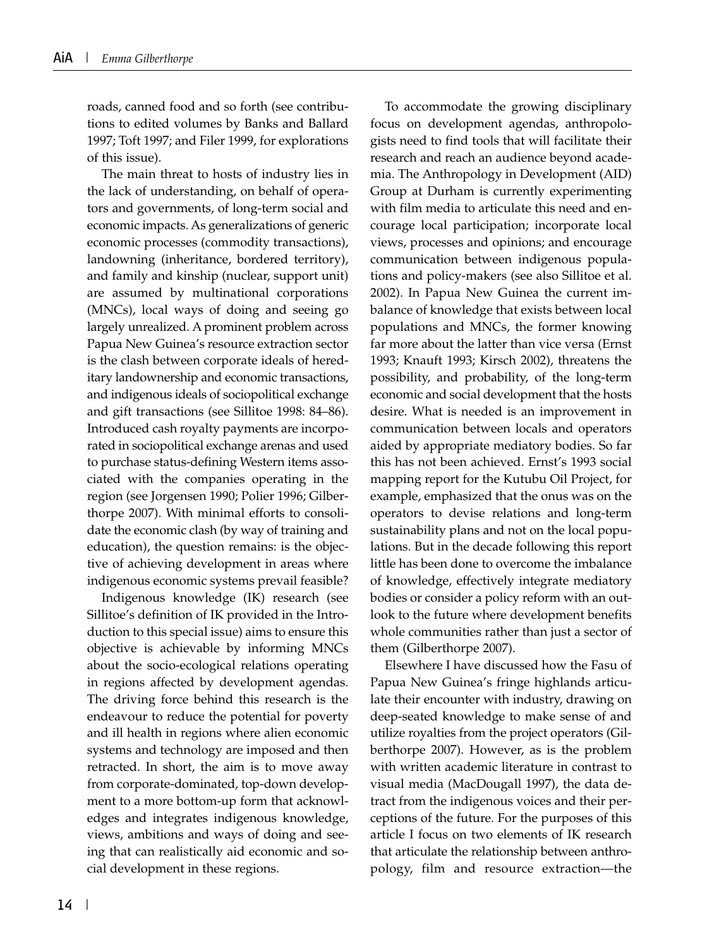roads, canned food and so forth (see contributions to edited volumes by Banks and Ballard 1997; Toft 1997; and Filer 1999, for explorations of this issue).

The main threat to hosts of industry lies in the lack of understanding, on behalf of operators and governments, of long-term social and economic impacts. As generalizations of generic economic processes (commodity transactions), landowning (inheritance, bordered territory), and family and kinship (nuclear, support unit) are assumed by multinational corporations (MNCs), local ways of doing and seeing go largely unrealized. A prominent problem across Papua New Guinea's resource extraction sector is the clash between corporate ideals of hereditary landownership and economic transactions, and indigenous ideals of sociopolitical exchange and gift transactions (see Sillitoe 1998: 84–86). Introduced cash royalty payments are incorporated in sociopolitical exchange arenas and used to purchase status-defining Western items associated with the companies operating in the region (see Jorgensen 1990; Polier 1996; Gilberthorpe 2007). With minimal efforts to consolidate the economic clash (by way of training and education), the question remains: is the objective of achieving development in areas where indigenous economic systems prevail feasible?

Indigenous knowledge (IK) research (see Sillitoe's definition of IK provided in the Introduction to this special issue) aims to ensure this objective is achievable by informing MNCs about the socio-ecological relations operating in regions affected by development agendas. The driving force behind this research is the endeavour to reduce the potential for poverty and ill health in regions where alien economic systems and technology are imposed and then retracted. In short, the aim is to move away from corporate-dominated, top-down development to a more bottom-up form that acknowledges and integrates indigenous knowledge, views, ambitions and ways of doing and seeing that can realistically aid economic and social development in these regions.

To accommodate the growing disciplinary focus on development agendas, anthropologists need to find tools that will facilitate their research and reach an audience beyond academia. The Anthropology in Development (AID) Group at Durham is currently experimenting with film media to articulate this need and encourage local participation; incorporate local views, processes and opinions; and encourage communication between indigenous populations and policy-makers (see also Sillitoe et al. 2002). In Papua New Guinea the current imbalance of knowledge that exists between local populations and MNCs, the former knowing far more about the latter than vice versa (Ernst 1993; Knauft 1993; Kirsch 2002), threatens the possibility, and probability, of the long-term economic and social development that the hosts desire. What is needed is an improvement in communication between locals and operators aided by appropriate mediatory bodies. So far this has not been achieved. Ernst's 1993 social mapping report for the Kutubu Oil Project, for example, emphasized that the onus was on the operators to devise relations and long-term sustainability plans and not on the local populations. But in the decade following this report little has been done to overcome the imbalance of knowledge, effectively integrate mediatory bodies or consider a policy reform with an outlook to the future where development benefits whole communities rather than just a sector of them (Gilberthorpe 2007).

Elsewhere I have discussed how the Fasu of Papua New Guinea's fringe highlands articulate their encounter with industry, drawing on deep-seated knowledge to make sense of and utilize royalties from the project operators (Gilberthorpe 2007). However, as is the problem with written academic literature in contrast to visual media (MacDougall 1997), the data detract from the indigenous voices and their perceptions of the future. For the purposes of this article I focus on two elements of IK research that articulate the relationship between anthropology, film and resource extraction—the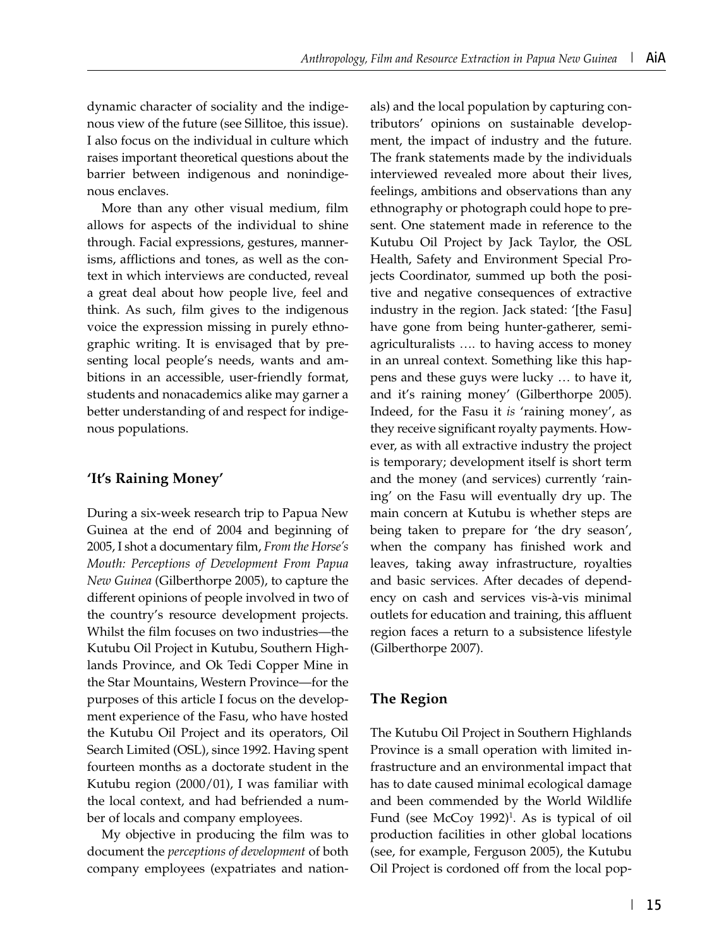dynamic character of sociality and the indigenous view of the future (see Sillitoe, this issue). I also focus on the individual in culture which raises important theoretical questions about the barrier between indigenous and nonindigenous enclaves.

More than any other visual medium, film allows for aspects of the individual to shine through. Facial expressions, gestures, mannerisms, afflictions and tones, as well as the context in which interviews are conducted, reveal a great deal about how people live, feel and think. As such, film gives to the indigenous voice the expression missing in purely ethnographic writing. It is envisaged that by presenting local people's needs, wants and ambitions in an accessible, user-friendly format, students and nonacademics alike may garner a better understanding of and respect for indigenous populations.

# 'It's Raining Money'

During a six-week research trip to Papua New Guinea at the end of 2004 and beginning of 2005, I shot a documentary film, From the Horse's Mouth: Perceptions of Development From Papua New Guinea (Gilberthorpe 2005), to capture the different opinions of people involved in two of the country's resource development projects. Whilst the film focuses on two industries—the Kutubu Oil Project in Kutubu, Southern Highlands Province, and Ok Tedi Copper Mine in the Star Mountains, Western Province—for the purposes of this article I focus on the development experience of the Fasu, who have hosted the Kutubu Oil Project and its operators, Oil Search Limited (OSL), since 1992. Having spent fourteen months as a doctorate student in the Kutubu region (2000/01), I was familiar with the local context, and had befriended a number of locals and company employees.

My objective in producing the film was to document the *perceptions* of *development* of both company employees (expatriates and nationals) and the local population by capturing contributors' opinions on sustainable development, the impact of industry and the future. The frank statements made by the individuals interviewed revealed more about their lives, feelings, ambitions and observations than any ethnography or photograph could hope to present. One statement made in reference to the Kutubu Oil Project by Jack Taylor, the OSL Health, Safety and Environment Special Projects Coordinator, summed up both the positive and negative consequences of extractive industry in the region. Jack stated: '[the Fasu] have gone from being hunter-gatherer, semiagriculturalists .... to having access to money in an unreal context. Something like this happens and these guys were lucky ... to have it, and it's raining money' (Gilberthorpe 2005). Indeed, for the Fasu it is 'raining money', as they receive significant royalty payments. However, as with all extractive industry the project is temporary; development itself is short term and the money (and services) currently 'raining' on the Fasu will eventually dry up. The main concern at Kutubu is whether steps are being taken to prepare for 'the dry season', when the company has finished work and leaves, taking away infrastructure, royalties and basic services. After decades of dependency on cash and services vis-à-vis minimal outlets for education and training, this affluent region faces a return to a subsistence lifestyle (Gilberthorpe 2007).

## **The Region**

The Kutubu Oil Project in Southern Highlands Province is a small operation with limited infrastructure and an environmental impact that has to date caused minimal ecological damage and been commended by the World Wildlife Fund (see McCoy 1992)<sup>1</sup>. As is typical of oil production facilities in other global locations (see, for example, Ferguson 2005), the Kutubu Oil Project is cordoned off from the local pop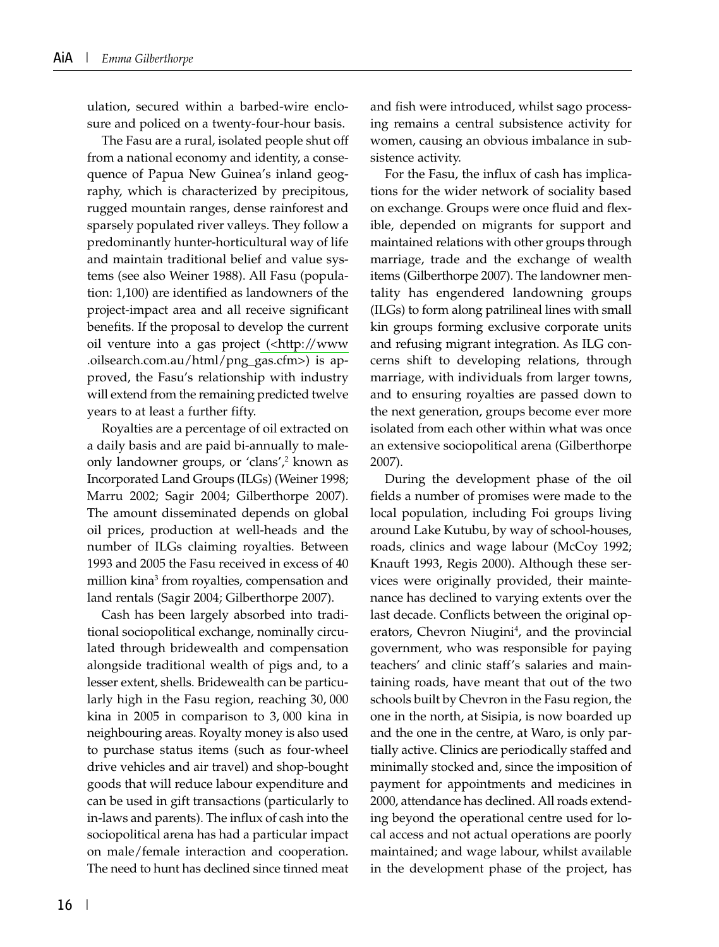ulation, secured within a barbed-wire enclosure and policed on a twenty-four-hour basis.

The Fasu are a rural, isolated people shut off from a national economy and identity, a consequence of Papua New Guinea's inland geography, which is characterized by precipitous, rugged mountain ranges, dense rainforest and sparsely populated river valleys. They follow a predominantly hunter-horticultural way of life and maintain traditional belief and value systems (see also Weiner 1988). All Fasu (population: 1,100) are identified as landowners of the project-impact area and all receive significant benefits. If the proposal to develop the current oil venture into a gas project (<http://www .oilsearch.com.au/html/png\_gas.cfm>) is approved, the Fasu's relationship with industry will extend from the remaining predicted twelve years to at least a further fifty.

Royalties are a percentage of oil extracted on a daily basis and are paid bi-annually to maleonly landowner groups, or 'clans',<sup>2</sup> known as Incorporated Land Groups (ILGs) (Weiner 1998; Marru 2002; Sagir 2004; Gilberthorpe 2007). The amount disseminated depends on global oil prices, production at well-heads and the number of ILGs claiming royalties. Between 1993 and 2005 the Fasu received in excess of 40 million kina<sup>3</sup> from royalties, compensation and land rentals (Sagir 2004; Gilberthorpe 2007).

Cash has been largely absorbed into traditional sociopolitical exchange, nominally circulated through bridewealth and compensation alongside traditional wealth of pigs and, to a lesser extent, shells. Bridewealth can be particularly high in the Fasu region, reaching 30,000 kina in 2005 in comparison to  $3,000$  kina in neighbouring areas. Royalty money is also used to purchase status items (such as four-wheel drive vehicles and air travel) and shop-bought goods that will reduce labour expenditure and can be used in gift transactions (particularly to in-laws and parents). The influx of cash into the sociopolitical arena has had a particular impact on male/female interaction and cooperation. The need to hunt has declined since tinned meat

and fish were introduced, whilst sago processing remains a central subsistence activity for women, causing an obvious imbalance in subsistence activity.

For the Fasu, the influx of cash has implications for the wider network of sociality based on exchange. Groups were once fluid and flexible, depended on migrants for support and maintained relations with other groups through marriage, trade and the exchange of wealth items (Gilberthorpe 2007). The landowner mentality has engendered landowning groups (ILGs) to form along patrilineal lines with small kin groups forming exclusive corporate units and refusing migrant integration. As ILG concerns shift to developing relations, through marriage, with individuals from larger towns, and to ensuring royalties are passed down to the next generation, groups become ever more isolated from each other within what was once an extensive sociopolitical arena (Gilberthorpe 2007).

During the development phase of the oil fields a number of promises were made to the local population, including Foi groups living around Lake Kutubu, by way of school-houses, roads, clinics and wage labour (McCoy 1992; Knauft 1993, Regis 2000). Although these services were originally provided, their maintenance has declined to varying extents over the last decade. Conflicts between the original operators, Chevron Niugini<sup>4</sup>, and the provincial government, who was responsible for paying teachers' and clinic staff's salaries and maintaining roads, have meant that out of the two schools built by Chevron in the Fasu region, the one in the north, at Sisipia, is now boarded up and the one in the centre, at Waro, is only partially active. Clinics are periodically staffed and minimally stocked and, since the imposition of payment for appointments and medicines in 2000, attendance has declined. All roads extending beyond the operational centre used for local access and not actual operations are poorly maintained; and wage labour, whilst available in the development phase of the project, has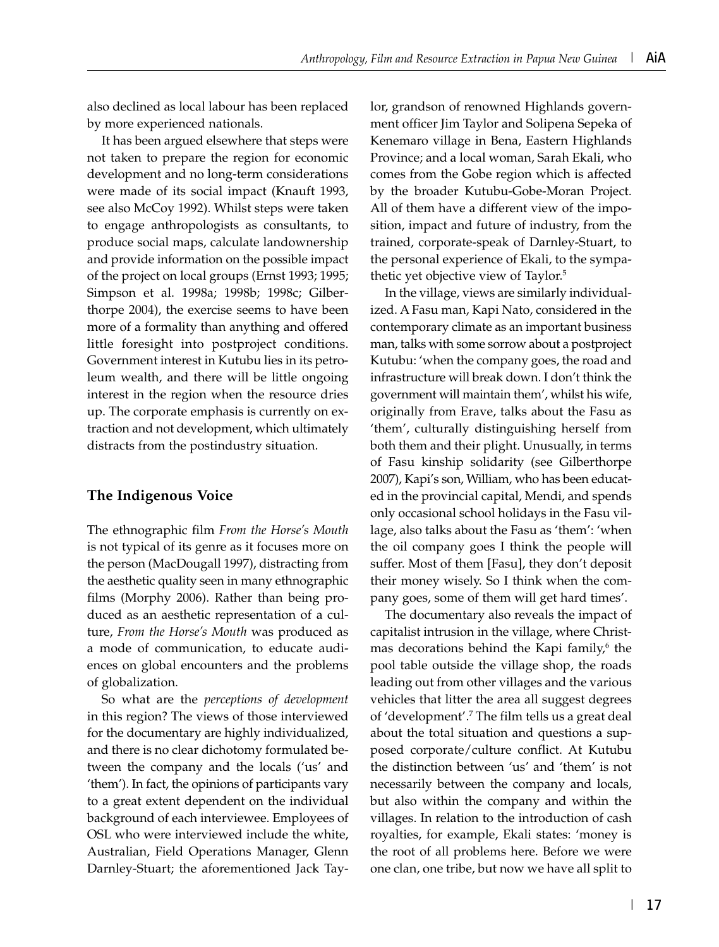also declined as local labour has been replaced by more experienced nationals.

It has been argued elsewhere that steps were not taken to prepare the region for economic development and no long-term considerations were made of its social impact (Knauft 1993, see also McCoy 1992). Whilst steps were taken to engage anthropologists as consultants, to produce social maps, calculate landownership and provide information on the possible impact of the project on local groups (Ernst 1993; 1995; Simpson et al. 1998a; 1998b; 1998c; Gilberthorpe 2004), the exercise seems to have been more of a formality than anything and offered little foresight into postproject conditions. Government interest in Kutubu lies in its petroleum wealth, and there will be little ongoing interest in the region when the resource dries up. The corporate emphasis is currently on extraction and not development, which ultimately distracts from the postindustry situation.

## The Indigenous Voice

The ethnographic film From the Horse's Mouth is not typical of its genre as it focuses more on the person (MacDougall 1997), distracting from the aesthetic quality seen in many ethnographic films (Morphy 2006). Rather than being produced as an aesthetic representation of a culture, From the Horse's Mouth was produced as a mode of communication, to educate audiences on global encounters and the problems of globalization.

So what are the *perceptions* of *development* in this region? The views of those interviewed for the documentary are highly individualized, and there is no clear dichotomy formulated between the company and the locals ('us' and 'them'). In fact, the opinions of participants vary to a great extent dependent on the individual background of each interviewee. Employees of OSL who were interviewed include the white, Australian, Field Operations Manager, Glenn Darnley-Stuart; the aforementioned Jack Taylor, grandson of renowned Highlands government officer Jim Taylor and Solipena Sepeka of Kenemaro village in Bena, Eastern Highlands Province; and a local woman, Sarah Ekali, who comes from the Gobe region which is affected by the broader Kutubu-Gobe-Moran Project. All of them have a different view of the imposition, impact and future of industry, from the trained, corporate-speak of Darnley-Stuart, to the personal experience of Ekali, to the sympathetic yet objective view of Taylor.<sup>5</sup>

In the village, views are similarly individualized. A Fasu man, Kapi Nato, considered in the contemporary climate as an important business man, talks with some sorrow about a postproject Kutubu: 'when the company goes, the road and infrastructure will break down. I don't think the government will maintain them', whilst his wife, originally from Erave, talks about the Fasu as 'them', culturally distinguishing herself from both them and their plight. Unusually, in terms of Fasu kinship solidarity (see Gilberthorpe 2007), Kapi's son, William, who has been educated in the provincial capital, Mendi, and spends only occasional school holidays in the Fasu village, also talks about the Fasu as 'them': 'when the oil company goes I think the people will suffer. Most of them [Fasu], they don't deposit their money wisely. So I think when the company goes, some of them will get hard times'.

The documentary also reveals the impact of capitalist intrusion in the village, where Christmas decorations behind the Kapi family,<sup>6</sup> the pool table outside the village shop, the roads leading out from other villages and the various vehicles that litter the area all suggest degrees of 'development'.<sup>7</sup> The film tells us a great deal about the total situation and questions a supposed corporate/culture conflict. At Kutubu the distinction between 'us' and 'them' is not necessarily between the company and locals, but also within the company and within the villages. In relation to the introduction of cash royalties, for example, Ekali states: 'money is the root of all problems here. Before we were one clan, one tribe, but now we have all split to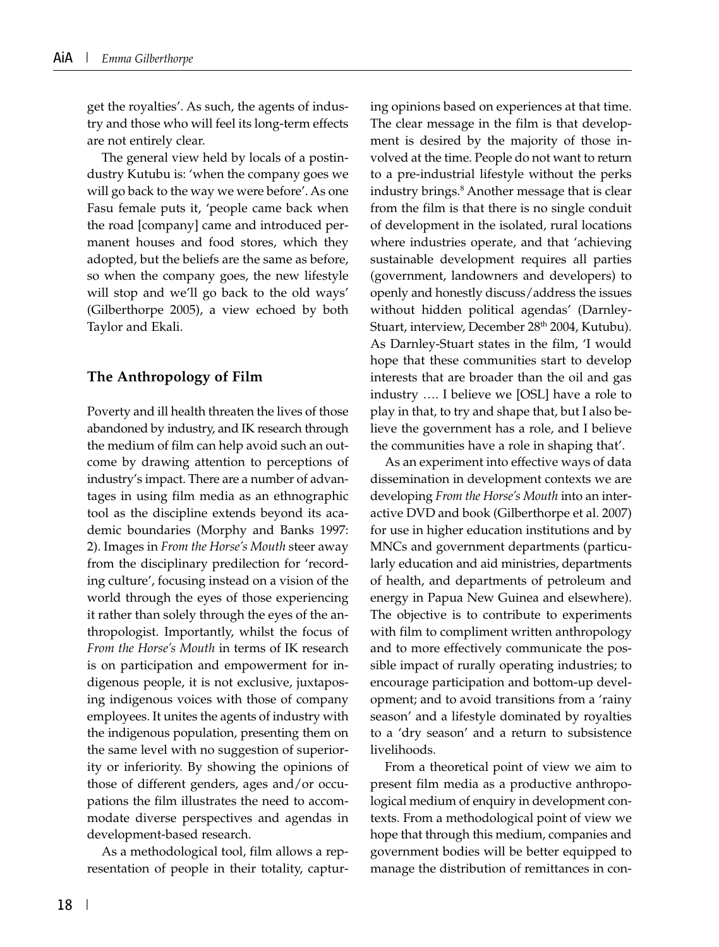get the royalties'. As such, the agents of industry and those who will feel its long-term effects are not entirely clear.

The general view held by locals of a postindustry Kutubu is: 'when the company goes we will go back to the way we were before'. As one Fasu female puts it, 'people came back when the road [company] came and introduced permanent houses and food stores, which they adopted, but the beliefs are the same as before, so when the company goes, the new lifestyle will stop and we'll go back to the old ways' (Gilberthorpe 2005), a view echoed by both Taylor and Ekali.

#### The Anthropology of Film

Poverty and ill health threaten the lives of those abandoned by industry, and IK research through the medium of film can help avoid such an outcome by drawing attention to perceptions of industry's impact. There are a number of advantages in using film media as an ethnographic tool as the discipline extends beyond its academic boundaries (Morphy and Banks 1997: 2). Images in From the Horse's Mouth steer away from the disciplinary predilection for 'recording culture', focusing instead on a vision of the world through the eyes of those experiencing it rather than solely through the eyes of the anthropologist. Importantly, whilst the focus of From the Horse's Mouth in terms of IK research is on participation and empowerment for indigenous people, it is not exclusive, juxtaposing indigenous voices with those of company employees. It unites the agents of industry with the indigenous population, presenting them on the same level with no suggestion of superiority or inferiority. By showing the opinions of those of different genders, ages and/or occupations the film illustrates the need to accommodate diverse perspectives and agendas in development-based research.

As a methodological tool, film allows a representation of people in their totality, capturing opinions based on experiences at that time. The clear message in the film is that development is desired by the majority of those involved at the time. People do not want to return to a pre-industrial lifestyle without the perks industry brings.<sup>8</sup> Another message that is clear from the film is that there is no single conduit of development in the isolated, rural locations where industries operate, and that 'achieving sustainable development requires all parties (government, landowners and developers) to openly and honestly discuss/address the issues without hidden political agendas' (Darnley-Stuart, interview, December 28<sup>th</sup> 2004, Kutubu). As Darnley-Stuart states in the film, 'I would hope that these communities start to develop interests that are broader than the oil and gas industry .... I believe we [OSL] have a role to play in that, to try and shape that, but I also believe the government has a role, and I believe the communities have a role in shaping that'.

As an experiment into effective ways of data dissemination in development contexts we are developing From the Horse's Mouth into an interactive DVD and book (Gilberthorpe et al. 2007) for use in higher education institutions and by MNCs and government departments (particularly education and aid ministries, departments of health, and departments of petroleum and energy in Papua New Guinea and elsewhere). The objective is to contribute to experiments with film to compliment written anthropology and to more effectively communicate the possible impact of rurally operating industries; to encourage participation and bottom-up development; and to avoid transitions from a 'rainy season' and a lifestyle dominated by royalties to a 'dry season' and a return to subsistence livelihoods.

From a theoretical point of view we aim to present film media as a productive anthropological medium of enquiry in development contexts. From a methodological point of view we hope that through this medium, companies and government bodies will be better equipped to manage the distribution of remittances in con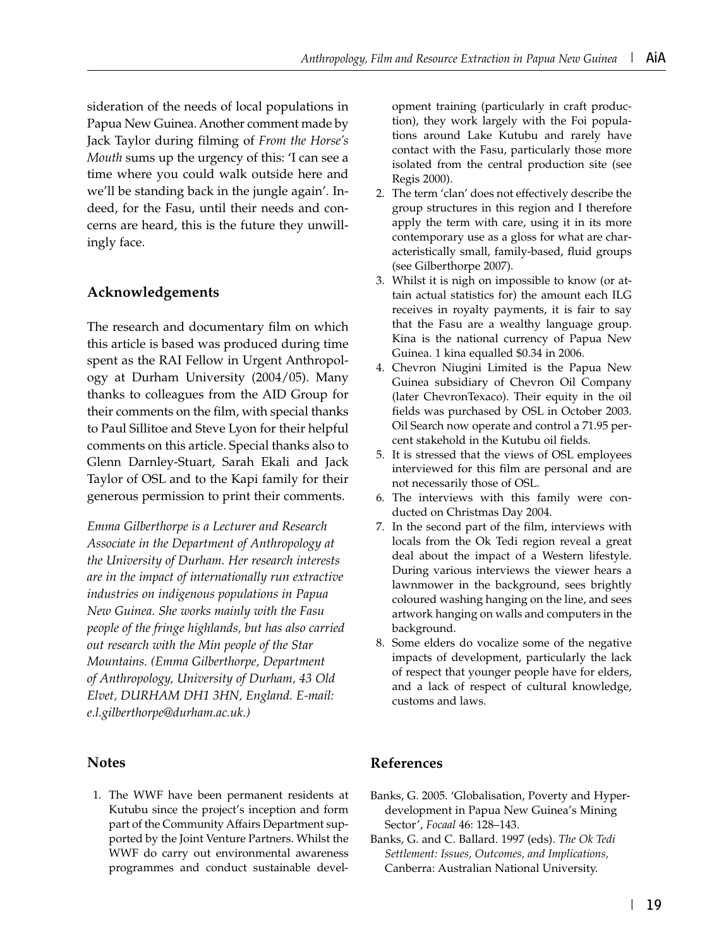sideration of the needs of local populations in Papua New Guinea. Another comment made by Jack Taylor during filming of From the Horse's *Mouth* sums up the urgency of this: 'I can see a time where you could walk outside here and we'll be standing back in the jungle again'. Indeed, for the Fasu, until their needs and concerns are heard, this is the future they unwillingly face.

## Acknowledgements

The research and documentary film on which this article is based was produced during time spent as the RAI Fellow in Urgent Anthropology at Durham University (2004/05). Many thanks to colleagues from the AID Group for their comments on the film, with special thanks to Paul Sillitoe and Steve Lyon for their helpful comments on this article. Special thanks also to Glenn Darnley-Stuart, Sarah Ekali and Jack Taylor of OSL and to the Kapi family for their generous permission to print their comments.

Emma Gilberthorpe is a Lecturer and Research Associate in the Department of Anthropology at the University of Durham. Her research interests are in the impact of internationally run extractive industries on indigenous populations in Papua New Guinea. She works mainly with the Fasu people of the fringe highlands, but has also carried out research with the Min people of the Star Mountains. (Emma Gilberthorpe, Department of Anthropology, University of Durham, 43 Old Elvet, DURHAM DH1 3HN, England. E-mail: e.l.gilberthorpe@durham.ac.uk.)

#### **Notes**

1. The WWF have been permanent residents at Kutubu since the project's inception and form part of the Community Affairs Department supported by the Joint Venture Partners. Whilst the WWF do carry out environmental awareness programmes and conduct sustainable development training (particularly in craft production), they work largely with the Foi populations around Lake Kutubu and rarely have contact with the Fasu, particularly those more isolated from the central production site (see Regis 2000).

- 2. The term 'clan' does not effectively describe the group structures in this region and I therefore apply the term with care, using it in its more contemporary use as a gloss for what are characteristically small, family-based, fluid groups (see Gilberthorpe 2007).
- 3. Whilst it is nigh on impossible to know (or attain actual statistics for) the amount each ILG receives in royalty payments, it is fair to say that the Fasu are a wealthy language group. Kina is the national currency of Papua New Guinea. 1 kina equalled \$0.34 in 2006.
- 4. Chevron Niugini Limited is the Papua New Guinea subsidiary of Chevron Oil Company (later ChevronTexaco). Their equity in the oil fields was purchased by OSL in October 2003. Oil Search now operate and control a 71.95 percent stakehold in the Kutubu oil fields.
- 5. It is stressed that the views of OSL employees interviewed for this film are personal and are not necessarily those of OSL.
- 6. The interviews with this family were conducted on Christmas Day 2004.
- 7. In the second part of the film, interviews with locals from the Ok Tedi region reveal a great deal about the impact of a Western lifestyle. During various interviews the viewer hears a lawnmower in the background, sees brightly coloured washing hanging on the line, and sees artwork hanging on walls and computers in the background.
- 8. Some elders do vocalize some of the negative impacts of development, particularly the lack of respect that younger people have for elders, and a lack of respect of cultural knowledge, customs and laws.

## **References**

- Banks, G. 2005. 'Globalisation, Poverty and Hyperdevelopment in Papua New Guinea's Mining Sector', Focaal 46: 128-143.
- Banks, G. and C. Ballard. 1997 (eds). The Ok Tedi Settlement: Issues, Outcomes, and Implications, Canberra: Australian National University.

 $\mathbf{I}$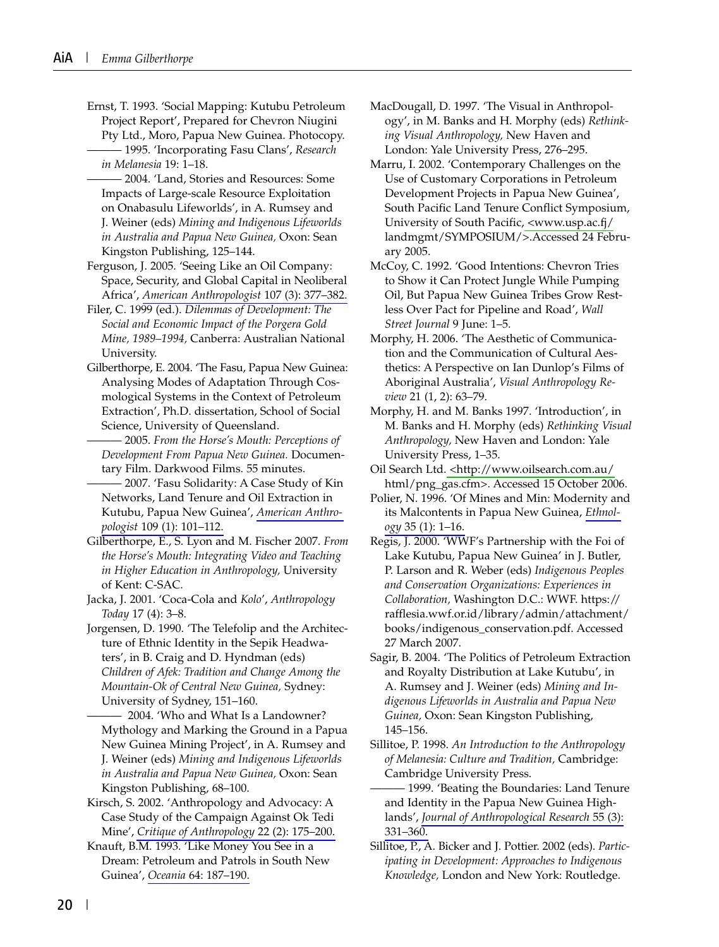- Ernst, T. 1993. 'Social Mapping: Kutubu Petroleum Project Report', Prepared for Chevron Niugini Pty Ltd., Moro, Papua New Guinea. Photocopy. - 1995. 'Incorporating Fasu Clans', Research in Melanesia 19: 1-18.
	- 2004. 'Land, Stories and Resources: Some Impacts of Large-scale Resource Exploitation on Onabasulu Lifeworlds', in A. Rumsey and J. Weiner (eds) Mining and Indigenous Lifeworlds in Australia and Papua New Guinea, Oxon: Sean Kingston Publishing, 125-144.
- Ferguson, J. 2005. 'Seeing Like an Oil Company: Space, Security, and Global Capital in Neoliberal Africa', American Anthropologist 107 (3): 377-382.
- Filer, C. 1999 (ed.). Dilemmas of Development: The Social and Economic Impact of the Porgera Gold Mine, 1989-1994, Canberra: Australian National University.
- Gilberthorpe, E. 2004. 'The Fasu, Papua New Guinea: Analysing Modes of Adaptation Through Cosmological Systems in the Context of Petroleum Extraction', Ph.D. dissertation, School of Social Science, University of Queensland.
	- 2005. From the Horse's Mouth: Perceptions of Development From Papua New Guinea. Documentary Film. Darkwood Films. 55 minutes.
	- 2007. 'Fasu Solidarity: A Case Study of Kin Networks, Land Tenure and Oil Extraction in Kutubu, Papua New Guinea', American Anthropologist 109 (1): 101-112.
- Gilberthorpe, E., S. Lyon and M. Fischer 2007. From the Horse's Mouth: Integrating Video and Teaching in Higher Education in Anthropology, University of Kent: C-SAC.
- Jacka, J. 2001. 'Coca-Cola and Kolo', Anthropology Today 17 (4): 3-8.
- Jorgensen, D. 1990. 'The Telefolip and the Architecture of Ethnic Identity in the Sepik Headwaters', in B. Craig and D. Hyndman (eds) Children of Afek: Tradition and Change Among the Mountain-Ok of Central New Guinea, Sydney: University of Sydney, 151-160.
	- 2004. 'Who and What Is a Landowner? Mythology and Marking the Ground in a Papua New Guinea Mining Project', in A. Rumsey and J. Weiner (eds) Mining and Indigenous Lifeworlds in Australia and Papua New Guinea, Oxon: Sean Kingston Publishing, 68-100.
- Kirsch, S. 2002. 'Anthropology and Advocacy: A Case Study of the Campaign Against Ok Tedi Mine', Critique of Anthropology 22 (2): 175-200.
- Knauft, B.M. 1993. 'Like Money You See in a Dream: Petroleum and Patrols in South New Guinea', Oceania 64: 187-190.
- MacDougall, D. 1997. 'The Visual in Anthropology', in M. Banks and H. Morphy (eds) Rethinking Visual Anthropology, New Haven and London: Yale University Press, 276-295.
- Marru, I. 2002. 'Contemporary Challenges on the Use of Customary Corporations in Petroleum Development Projects in Papua New Guinea', South Pacific Land Tenure Conflict Symposium, University of South Pacific, <www.usp.ac.fj/ landmgmt/SYMPOSIUM/>.Accessed 24 February 2005.
- McCoy, C. 1992. 'Good Intentions: Chevron Tries to Show it Can Protect Jungle While Pumping Oil, But Papua New Guinea Tribes Grow Restless Over Pact for Pipeline and Road', Wall Street Journal 9 June: 1-5.
- Morphy, H. 2006. 'The Aesthetic of Communication and the Communication of Cultural Aesthetics: A Perspective on Ian Dunlop's Films of Aboriginal Australia', Visual Anthropology Review 21 (1, 2): 63-79.
- Morphy, H. and M. Banks 1997. 'Introduction', in M. Banks and H. Morphy (eds) Rethinking Visual Anthropology, New Haven and London: Yale University Press, 1-35.
- Oil Search Ltd. <http://www.oilsearch.com.au/ html/png\_gas.cfm>. Accessed 15 October 2006.
- Polier, N. 1996. 'Of Mines and Min: Modernity and its Malcontents in Papua New Guinea, Ethnology 35 (1): 1-16.
- Regis, J. 2000. 'WWF's Partnership with the Foi of Lake Kutubu, Papua New Guinea' in J. Butler, P. Larson and R. Weber (eds) Indigenous Peoples and Conservation Organizations: Experiences in Collaboration, Washington D.C.: WWF. https:// rafflesia.wwf.or.id/library/admin/attachment/ books/indigenous\_conservation.pdf. Accessed 27 March 2007.
- Sagir, B. 2004. 'The Politics of Petroleum Extraction and Royalty Distribution at Lake Kutubu', in A. Rumsey and J. Weiner (eds) Mining and Indigenous Lifeworlds in Australia and Papua New Guinea, Oxon: Sean Kingston Publishing, 145-156.
- Sillitoe, P. 1998. An Introduction to the Anthropology of Melanesia: Culture and Tradition, Cambridge: Cambridge University Press.
- 1999. 'Beating the Boundaries: Land Tenure and Identity in the Papua New Guinea Highlands', Journal of Anthropological Research 55 (3):  $331 - 360.$
- Sillitoe, P., A. Bicker and J. Pottier. 2002 (eds). Participating in Development: Approaches to Indigenous Knowledge, London and New York: Routledge.